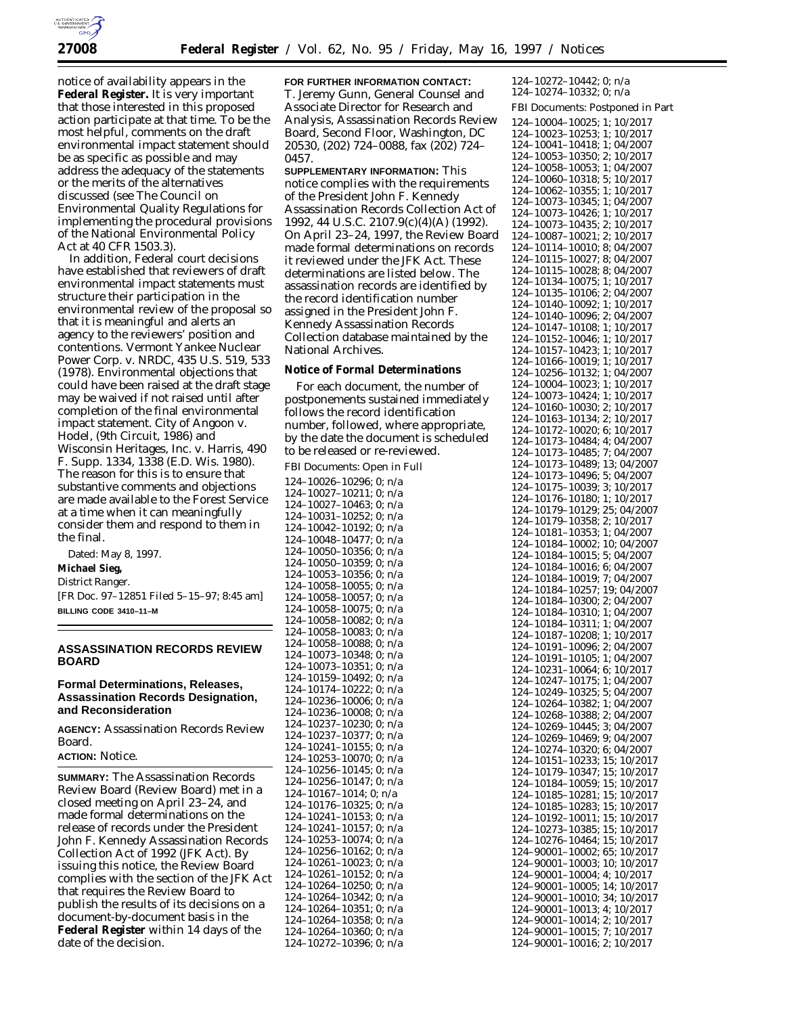

notice of availability appears in the **Federal Register.** It is very important that those interested in this proposed action participate at that time. To be the most helpful, comments on the draft environmental impact statement should be as specific as possible and may address the adequacy of the statements or the merits of the alternatives discussed (see The Council on Environmental Quality Regulations for implementing the procedural provisions of the National Environmental Policy Act at 40 CFR 1503.3).

In addition, Federal court decisions have established that reviewers of draft environmental impact statements must structure their participation in the environmental review of the proposal so that it is meaningful and alerts an agency to the reviewers' position and contentions. *Vermont Yankee Nuclear Power Corp.* v. *NRDC,* 435 U.S. 519, 533 (1978). Environmental objections that could have been raised at the draft stage may be waived if not raised until after completion of the final environmental impact statement. *City of Angoon* v. *Hodel,* (9th Circuit, 1986) and *Wisconsin Heritages, Inc.* v. *Harris,* 490 F. Supp. 1334, 1338 (E.D. Wis. 1980). The reason for this is to ensure that substantive comments and objections are made available to the Forest Service at a time when it can meaningfully consider them and respond to them in the final.

Dated: May 8, 1997. **Michael Sieg,** *District Ranger.* [FR Doc. 97–12851 Filed 5–15–97; 8:45 am] **BILLING CODE 3410–11–M**

## **ASSASSINATION RECORDS REVIEW BOARD**

## **Formal Determinations, Releases, Assassination Records Designation, and Reconsideration**

**AGENCY:** Assassination Records Review Board.

## **ACTION:** Notice.

**SUMMARY:** The Assassination Records Review Board (Review Board) met in a closed meeting on April 23–24, and made formal determinations on the release of records under the President John F. Kennedy Assassination Records Collection Act of 1992 (JFK Act). By issuing this notice, the Review Board complies with the section of the JFK Act that requires the Review Board to publish the results of its decisions on a document-by-document basis in the **Federal Register** within 14 days of the date of the decision.

**FOR FURTHER INFORMATION CONTACT:** T. Jeremy Gunn, General Counsel and Associate Director for Research and Analysis, Assassination Records Review Board, Second Floor, Washington, DC 20530, (202) 724–0088, fax (202) 724– 0457.

**SUPPLEMENTARY INFORMATION:** This notice complies with the requirements of the President John F. Kennedy Assassination Records Collection Act of 1992, 44 U.S.C. 2107.9(c)(4)(A) (1992). On April 23–24, 1997, the Review Board made formal determinations on records it reviewed under the JFK Act. These determinations are listed below. The assassination records are identified by the record identification number assigned in the President John F. Kennedy Assassination Records Collection database maintained by the National Archives.

## **Notice of Formal Determinations**

For each document, the number of postponements sustained immediately follows the record identification number, followed, where appropriate, by the date the document is scheduled to be released or re-reviewed.

FBI Documents: Open in Full

124–10026–10296; 0; n/a 124–10027–10211; 0; n/a 124–10027–10463; 0; n/a 124–10031–10252; 0; n/a 124–10042–10192; 0; n/a 124–10048–10477; 0; n/a 124–10050–10356; 0; n/a 124–10050–10359; 0; n/a 124–10053–10356; 0; n/a 124–10058–10055; 0; n/a 124–10058–10057; 0; n/a 124–10058–10075; 0; n/a 124–10058–10082; 0; n/a 124–10058–10083; 0; n/a 124–10058–10088; 0; n/a 124–10073–10348; 0; n/a 124–10073–10351; 0; n/a 124–10159–10492; 0; n/a 124–10174–10222; 0; n/a 124–10236–10006; 0; n/a 124–10236–10008; 0; n/a 124–10237–10230; 0; n/a 124–10237–10377; 0; n/a 124–10241–10155; 0; n/a 124–10253–10070; 0; n/a 124–10256–10145; 0; n/a 124–10256–10147; 0; n/a 124–10167–1014; 0; n/a 124–10176–10325; 0; n/a  $124 - 10241 - 10153$ ; 0; n/a 124–10241–10157; 0; n/a 124–10253–10074; 0; n/a 124–10256–10162; 0; n/a 124–10261–10023; 0; n/a 124–10261–10152; 0; n/a 124–10264–10250; 0; n/a 124–10264–10342; 0; n/a 124–10264–10351; 0; n/a 124–10264–10358; 0; n/a 124–10264–10360; 0; n/a 124–10272–10396; 0; n/a

124–10272–10442; 0; n/a 124–10274–10332; 0; n/a FBI Documents: Postponed in Part 124–10004–10025; 1; 10/2017 124–10023–10253; 1; 10/2017 124–10041–10418; 1; 04/2007 124–10053–10350; 2; 10/2017 124–10058–10053; 1; 04/2007 124–10060–10318; 5; 10/2017 124–10062–10355; 1; 10/2017 124–10073–10345; 1; 04/2007 124–10073–10426; 1; 10/2017 124–10073–10435; 2; 10/2017 124–10087–10021; 2; 10/2017 124–10114–10010; 8; 04/2007 124–10115–10027; 8; 04/2007 124–10115–10028; 8; 04/2007 124–10134–10075; 1; 10/2017 124–10135–10106; 2; 04/2007 124–10140–10092; 1; 10/2017 124–10140–10096; 2; 04/2007 124–10147–10108; 1; 10/2017 124–10152–10046; 1; 10/2017 124–10157–10423; 1; 10/2017 124–10166–10019; 1; 10/2017 124–10256–10132; 1; 04/2007 124–10004–10023; 1; 10/2017 124–10073–10424; 1; 10/2017 124–10160–10030; 2; 10/2017 124–10163–10134; 2; 10/2017 124–10172–10020; 6; 10/2017 124–10173–10484; 4; 04/2007 124–10173–10485; 7; 04/2007 124–10173–10489; 13; 04/2007 124–10173–10496; 5; 04/2007 124–10175–10039; 3; 10/2017 124–10176–10180; 1; 10/2017 124–10179–10129; 25; 04/2007 124–10179–10358; 2; 10/2017 124–10181–10353; 1; 04/2007 124–10184–10002; 10; 04/2007 124–10184–10015; 5; 04/2007 124–10184–10016; 6; 04/2007 124–10184–10019; 7; 04/2007 124–10184–10257; 19; 04/2007 124–10184–10300; 2; 04/2007 124–10184–10310; 1; 04/2007 124–10184–10311; 1; 04/2007 124–10187–10208; 1; 10/2017 124–10191–10096; 2; 04/2007 124–10191–10105; 1; 04/2007 124–10231–10064; 6; 10/2017 124–10247–10175; 1; 04/2007 124–10249–10325; 5; 04/2007 124–10264–10382; 1; 04/2007 124–10268–10388; 2; 04/2007 124–10269–10445; 3; 04/2007 124–10269–10469; 9; 04/2007 124–10274–10320; 6; 04/2007 124–10151–10233; 15; 10/2017 124–10179–10347; 15; 10/2017 124–10184–10059; 15; 10/2017 124–10185–10281; 15; 10/2017 124–10185–10283; 15; 10/2017 124–10192–10011; 15; 10/2017 124–10273–10385; 15; 10/2017 124–10276–10464; 15; 10/2017 124–90001–10002; 65; 10/2017 124–90001–10003; 10; 10/2017 124–90001–10004; 4; 10/2017 124–90001–10005; 14; 10/2017 124–90001–10010; 34; 10/2017 124–90001–10013; 4; 10/2017 124–90001–10014; 2; 10/2017 124–90001–10015; 7; 10/2017 124–90001–10016; 2; 10/2017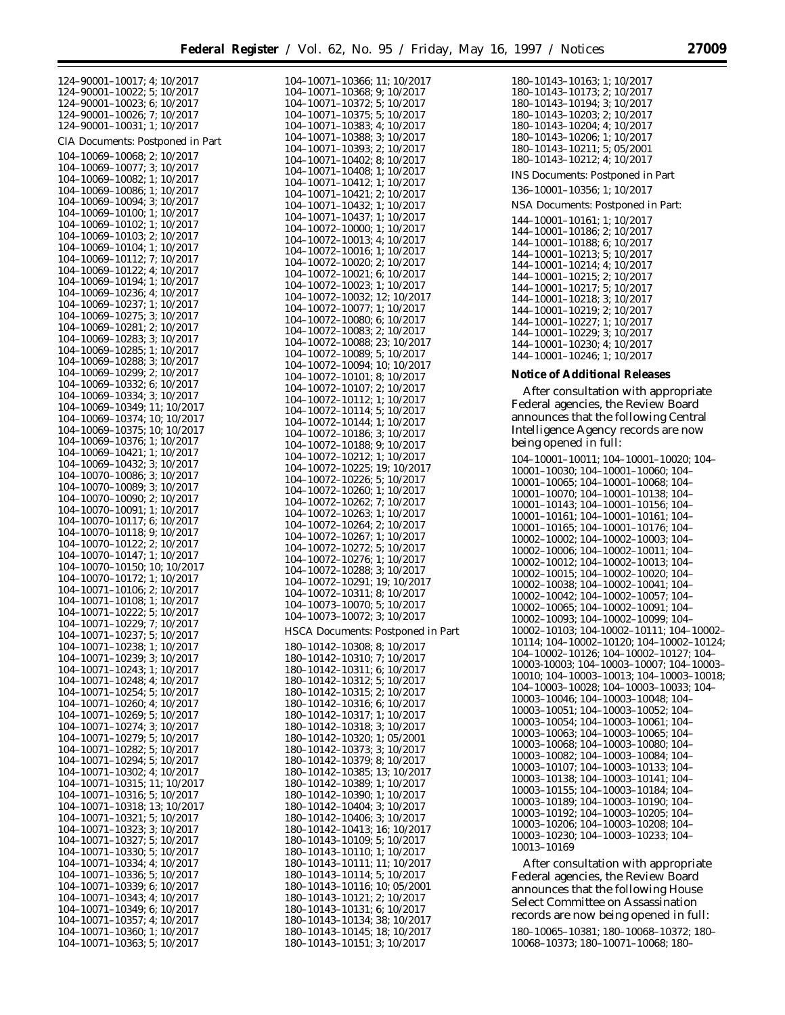| 124-90001-10017; 4; 10/2017      | 104-10071-10366; 11; 10/2017         | 180-10143-10163; 1; 10/2017                       |
|----------------------------------|--------------------------------------|---------------------------------------------------|
| 124-90001-10022; 5; 10/2017      | 104-10071-10368; 9; 10/2017          | 180-10143-10173; 2; 10/2017                       |
| 124-90001-10023; 6; 10/2017      | 104-10071-10372; 5; 10/2017          | 180-10143-10194; 3; 10/2017                       |
| 124-90001-10026; 7; 10/2017      | 104-10071-10375; 5; 10/2017          | 180-10143-10203; 2; 10/2017                       |
| 124-90001-10031; 1; 10/2017      | $104 - 10071 - 10383$ ; 4; $10/2017$ | 180-10143-10204; 4; 10/2017                       |
|                                  | 104-10071-10388; 3; 10/2017          | 180-10143-10206; 1; 10/2017                       |
| CIA Documents: Postponed in Part |                                      |                                                   |
| 104-10069-10068; 2; 10/2017      | 104–10071–10393; 2; 10/2017          | 180-10143-10211; 5; 05/2001                       |
|                                  | 104-10071-10402; 8; 10/2017          | 180-10143-10212; 4; 10/2017                       |
| 104-10069-10077; 3; 10/2017      | 104-10071-10408; 1; 10/2017          | INS Documents: Postponed in Part                  |
| 104-10069-10082; 1; 10/2017      | 104-10071-10412; 1; 10/2017          |                                                   |
| 104-10069-10086; 1; 10/2017      | 104-10071-10421; 2; 10/2017          | 136-10001-10356; 1; 10/2017                       |
| 104-10069-10094; 3; 10/2017      | 104-10071-10432; 1; 10/2017          | NSA Documents: Postponed in Part:                 |
| 104-10069-10100; 1; 10/2017      | 104-10071-10437; 1; 10/2017          |                                                   |
| 104-10069-10102; 1; 10/2017      |                                      | 144-10001-10161; 1; 10/2017                       |
| 104-10069-10103; 2; 10/2017      | 104-10072-10000; 1; 10/2017          | 144-10001-10186; 2; 10/2017                       |
|                                  | 104-10072-10013; 4; 10/2017          | 144-10001-10188; 6; 10/2017                       |
| 104-10069-10104; 1; 10/2017      | 104-10072-10016; 1; 10/2017          | $144 - 10001 - 10213$ ; 5; 10/2017                |
| 104-10069-10112; 7; 10/2017      | 104-10072-10020; 2; 10/2017          | 144-10001-10214; 4; 10/2017                       |
| 104-10069-10122; 4; 10/2017      | 104-10072-10021; 6; 10/2017          | 144-10001-10215; 2; 10/2017                       |
| 104-10069-10194; 1; 10/2017      | 104-10072-10023; 1; 10/2017          |                                                   |
| 104-10069-10236; 4; 10/2017      | 104-10072-10032; 12; 10/2017         | $144-10001-10217$ ; 5; 10/2017                    |
| 104-10069-10237; 1; 10/2017      |                                      | 144-10001-10218; 3; 10/2017                       |
| 104-10069-10275; 3; 10/2017      | 104-10072-10077; 1; 10/2017          | 144-10001-10219; 2; 10/2017                       |
|                                  | 104-10072-10080; 6; 10/2017          | 144-10001-10227; 1; 10/2017                       |
| 104-10069-10281; 2; 10/2017      | $104-10072-10083; 2; 10/2017$        | 144-10001-10229; 3; 10/2017                       |
| 104-10069-10283; 3; 10/2017      | 104-10072-10088; 23; 10/2017         | $144 - 10001 - 10230$ ; 4; 10/2017                |
| 104-10069-10285; 1; 10/2017      | 104-10072-10089; 5; 10/2017          | 144-10001-10246; 1; 10/2017                       |
| 104-10069-10288; 3; 10/2017      | 104-10072-10094; 10; 10/2017         |                                                   |
| 104-10069-10299; 2; 10/2017      | 104-10072-10101; 8; 10/2017          | <b>Notice of Additional Releases</b>              |
| 104-10069-10332; 6; 10/2017      |                                      |                                                   |
| 104-10069-10334; 3; 10/2017      | 104-10072-10107; 2; 10/2017          | After consultation with appropriate               |
|                                  | 104-10072-10112; 1; 10/2017          | Federal agencies, the Review Board                |
| 104-10069-10349; 11; 10/2017     | 104-10072-10114; 5; 10/2017          |                                                   |
| 104-10069-10374; 10; 10/2017     | 104-10072-10144; 1; 10/2017          | announces that the following Central              |
| 104-10069-10375; 10; 10/2017     | 104-10072-10186; 3; 10/2017          | Intelligence Agency records are now               |
| 104-10069-10376; 1; 10/2017      | 104-10072-10188; 9; 10/2017          | being opened in full:                             |
| 104-10069-10421; 1; 10/2017      | 104-10072-10212; 1; 10/2017          |                                                   |
| 104-10069-10432; 3; 10/2017      |                                      | 104-10001-10011; 104-10001-10020; 104-            |
| 104-10070-10086; 3; 10/2017      | 104-10072-10225; 19; 10/2017         | 10001-10030; 104-10001-10060; 104-                |
| 104-10070-10089; 3; 10/2017      | 104-10072-10226; 5; 10/2017          | 10001-10065; 104-10001-10068; 104-                |
|                                  | 104-10072-10260; 1; 10/2017          | 10001-10070; 104-10001-10138; 104-                |
| 104-10070-10090; 2; 10/2017      | 104-10072-10262; 7; 10/2017          | 10001-10143; 104-10001-10156; 104-                |
| 104-10070-10091; 1; 10/2017      | 104-10072-10263; 1; 10/2017          | 10001-10161; 104-10001-10161; 104-                |
| 104-10070-10117; 6; 10/2017      | 104-10072-10264; 2; 10/2017          |                                                   |
| 104-10070-10118; 9; 10/2017      | 104-10072-10267; 1; 10/2017          | 10001-10165; 104-10001-10176; 104-                |
| 104-10070-10122; 2; 10/2017      |                                      | $10002 - 10002$ ; $104 - 10002 - 10003$ ; $104 -$ |
| 104-10070-10147; 1; 10/2017      | 104-10072-10272; 5; 10/2017          | 10002-10006; 104-10002-10011; 104-                |
| 104-10070-10150; 10; 10/2017     | 104-10072-10276; 1; 10/2017          | $10002 - 10012$ ; $104 - 10002 - 10013$ ; $104 -$ |
|                                  | 104-10072-10288; 3; 10/2017          | 10002-10015; 104-10002-10020; 104-                |
| 104-10070-10172; 1; 10/2017      | 104-10072-10291; 19; 10/2017         | 10002-10038; 104-10002-10041; 104-                |
| 104-10071-10106; 2; 10/2017      | 104-10072-10311; 8; 10/2017          | 10002-10042; 104-10002-10057; 104-                |
| 104-10071-10108; 1; 10/2017      | 104-10073-10070; 5; 10/2017          | 10002-10065; 104-10002-10091; 104-                |
| 104-10071-10222; 5; 10/2017      | 104-10073-10072; 3; 10/2017          |                                                   |
| 104-10071-10229; 7; 10/2017      |                                      | 10002-10093; 104-10002-10099; 104-                |
| 104-10071-10237; 5; 10/2017      | HSCA Documents: Postponed in Part    | 10002-10103; 104-10002-10111; 104-10002-          |
| 104-10071-10238; 1; 10/2017      | 180-10142-10308; 8; 10/2017          | 10114; 104-10002-10120; 104-10002-10124;          |
| 104-10071-10239; 3; 10/2017      | 180-10142-10310; 7; 10/2017          | 104-10002-10126; 104-10002-10127; 104-            |
|                                  |                                      | 10003-10003; 104-10003-10007; 104-10003-          |
| 104-10071-10243; 1; 10/2017      | 180-10142-10311; 6; 10/2017          | 10010; 104-10003-10013; 104-10003-10018;          |
| 104-10071-10248; 4; 10/2017      | 180-10142-10312; 5; 10/2017          | 104-10003-10028; 104-10003-10033; 104-            |
| 104-10071-10254; 5; 10/2017      | 180-10142-10315; 2; 10/2017          | 10003-10046; 104-10003-10048; 104-                |
| 104-10071-10260; 4; 10/2017      | 180-10142-10316; 6; 10/2017          | 10003-10051; 104-10003-10052; 104-                |
| 104-10071-10269; 5; 10/2017      | 180-10142-10317; 1; 10/2017          |                                                   |
| 104-10071-10274; 3; 10/2017      | 180-10142-10318; 3; 10/2017          | 10003-10054; 104-10003-10061; 104-                |
| 104-10071-10279; 5; 10/2017      | 180-10142-10320; 1; 05/2001          | 10003-10063; 104-10003-10065; 104-                |
| 104-10071-10282; 5; 10/2017      | 180-10142-10373; 3; 10/2017          | 10003-10068; 104-10003-10080; 104-                |
| 104-10071-10294; 5; 10/2017      | 180-10142-10379; 8; 10/2017          | 10003-10082; 104-10003-10084; 104-                |
| 104-10071-10302; 4; 10/2017      |                                      | 10003-10107; 104-10003-10133; 104-                |
|                                  | 180-10142-10385; 13; 10/2017         | 10003-10138; 104-10003-10141; 104-                |
| 104-10071-10315; 11; 10/2017     | 180-10142-10389; 1; 10/2017          | 10003-10155; 104-10003-10184; 104-                |
| 104-10071-10316; 5; 10/2017      | 180-10142-10390; 1; 10/2017          | 10003-10189; 104-10003-10190; 104-                |
| 104-10071-10318; 13; 10/2017     | 180-10142-10404; 3; 10/2017          | 10003-10192; 104-10003-10205; 104-                |
| 104-10071-10321; 5; 10/2017      | 180-10142-10406; 3; 10/2017          |                                                   |
| 104-10071-10323; 3; 10/2017      | 180-10142-10413; 16; 10/2017         | 10003-10206; 104-10003-10208; 104-                |
| 104-10071-10327; 5; 10/2017      | 180-10143-10109; 5; 10/2017          | 10003-10230; 104-10003-10233; 104-                |
| 104-10071-10330; 5; 10/2017      | 180-10143-10110; 1; 10/2017          | 10013-10169                                       |
|                                  |                                      | After consultation with appropriate               |
| 104–10071–10334; 4; 10/2017      | 180–10143–10111; 11; 10/2017         |                                                   |
| 104-10071-10336; 5; 10/2017      | 180-10143-10114; 5; 10/2017          | Federal agencies, the Review Board                |
| 104-10071-10339; 6; 10/2017      | 180-10143-10116; 10; 05/2001         | announces that the following House                |
| 104–10071–10343; 4; 10/2017      | 180-10143-10121; 2; 10/2017          | Select Committee on Assassination                 |
| 104-10071-10349; 6; 10/2017      | 180-10143-10131; 6; 10/2017          |                                                   |
| 104-10071-10357; 4; 10/2017      | 180–10143–10134; 38; 10/2017         | records are now being opened in full:             |
| 104-10071-10360; 1; 10/2017      |                                      |                                                   |
|                                  | 180-10143-10145; 18; 10/2017         | 180-10065-10381; 180-10068-10372; 180-            |
| 104-10071-10363; 5; 10/2017      | 180-10143-10151; 3; 10/2017          | 10068-10373; 180-10071-10068; 180-                |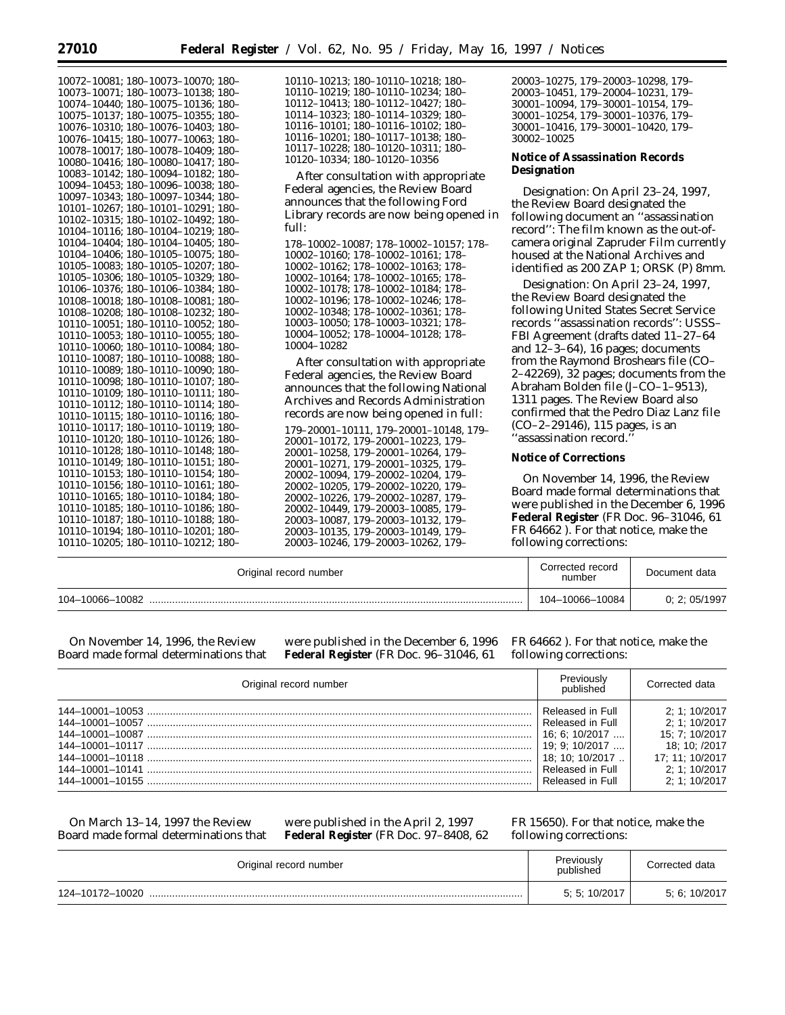| 10072-10081; 180-10073-10070; 180- | 10110-10213; 180-10110-10218; 180-         |
|------------------------------------|--------------------------------------------|
| 10073-10071; 180-10073-10138; 180- | 10110-10219; 180-10110-10234; 180-         |
| 10074-10440; 180-10075-10136; 180- | 10112-10413; 180-10112-10427; 180-         |
| 10075-10137; 180-10075-10355; 180- | 10114-10323; 180-10114-10329; 180-         |
| 10076-10310; 180-10076-10403; 180- | 10116-10101; 180-10116-10102; 180-         |
| 10076-10415; 180-10077-10063; 180- | 10116-10201; 180-10117-10138; 180-         |
| 10078-10017; 180-10078-10409; 180- | 10117-10228; 180-10120-10311; 180-         |
| 10080-10416; 180-10080-10417; 180- | 10120-10334; 180-10120-10356               |
| 10083-10142; 180-10094-10182; 180- | After consultation with appropriate        |
| 10094-10453; 180-10096-10038; 180- |                                            |
| 10097-10343; 180-10097-10344; 180- | Federal agencies, the Review Board         |
| 10101-10267; 180-10101-10291; 180- | announces that the following Ford          |
| 10102-10315; 180-10102-10492; 180- | Library records are now being opened in    |
| 10104-10116; 180-10104-10219; 180- | full:                                      |
| 10104-10404; 180-10104-10405; 180- | 178-10002-10087; 178-10002-10157; 178-     |
| 10104-10406; 180-10105-10075; 180- | 10002-10160; 178-10002-10161; 178-         |
| 10105-10083; 180-10105-10207; 180- | 10002-10162; 178-10002-10163; 178-         |
| 10105-10306; 180-10105-10329; 180- | 10002-10164; 178-10002-10165; 178-         |
| 10106-10376; 180-10106-10384; 180- | 10002-10178; 178-10002-10184; 178-         |
| 10108-10018; 180-10108-10081; 180- | 10002-10196; 178-10002-10246; 178-         |
| 10108-10208; 180-10108-10232; 180- | 10002-10348; 178-10002-10361; 178-         |
| 10110-10051; 180-10110-10052; 180- | 10003-10050; 178-10003-10321; 178-         |
| 10110-10053; 180-10110-10055; 180- | 10004-10052; 178-10004-10128; 178-         |
| 10110-10060; 180-10110-10084; 180- | 10004-10282                                |
| 10110-10087; 180-10110-10088; 180- |                                            |
| 10110-10089; 180-10110-10090; 180- | After consultation with appropriate        |
| 10110-10098; 180-10110-10107; 180- | Federal agencies, the Review Board         |
| 10110-10109; 180-10110-10111; 180- | announces that the following National      |
| 10110-10112; 180-10110-10114; 180- | <b>Archives and Records Administration</b> |
| 10110-10115; 180-10110-10116; 180- | records are now being opened in full:      |
| 10110-10117; 180-10110-10119; 180- | 179-20001-10111, 179-20001-10148, 179-     |
| 10110-10120; 180-10110-10126; 180- | 20001-10172, 179-20001-10223, 179-         |
| 10110-10128; 180-10110-10148; 180- | 20001-10258, 179-20001-10264, 179-         |
| 10110-10149; 180-10110-10151; 180- | 20001-10271, 179-20001-10325, 179-         |
| 10110-10153; 180-10110-10154; 180- | 20002-10094, 179-20002-10204, 179-         |
| 10110-10156; 180-10110-10161; 180- | 20002-10205, 179-20002-10220, 179-         |
| 10110-10165; 180-10110-10184; 180- | 20002-10226, 179-20002-10287, 179-         |
| 10110-10185; 180-10110-10186; 180- | 20002-10449, 179-20003-10085, 179-         |
| 10110-10187; 180-10110-10188; 180- | 20003-10087, 179-20003-10132, 179-         |
| 10110-10194; 180-10110-10201; 180- | 20003-10135, 179-20003-10149, 179-         |
| 10110-10205; 180-10110-10212; 180- | 20003-10246, 179-20003-10262, 179-         |

20003–10275, 179–20003–10298, 179– 20003–10451, 179–20004–10231, 179– 30001–10094, 179–30001–10154, 179– 30001–10254, 179–30001–10376, 179– 30001–10416, 179–30001–10420, 179– 30002–10025

## **Notice of Assassination Records Designation**

*Designation:* On April 23–24, 1997, the Review Board designated the following document an ''assassination record'': The film known as the out-ofcamera original Zapruder Film currently housed at the National Archives and identified as 200 ZAP 1; ORSK (P) 8mm.

*Designation:* On April 23–24, 1997, the Review Board designated the following United States Secret Service records ''assassination records'': USSS– FBI Agreement (drafts dated 11–27–64 and 12–3–64), 16 pages; documents from the Raymond Broshears file (CO– 2–42269), 32 pages; documents from the Abraham Bolden file (J–CO–1–9513), 1311 pages. The Review Board also confirmed that the Pedro Diaz Lanz file (CO–2–29146), 115 pages, is an ''assassination record.''

# **Notice of Corrections**

On November 14, 1996, the Review Board made formal determinations that were published in the December 6, 1996 **Federal Register** (FR Doc. 96–31046, 61 FR 64662 ). For that notice, make the following corrections:

| Original record number | Corrected record<br>number | Document data |
|------------------------|----------------------------|---------------|
| 104-10066-10082        | 104-10066-10084            | 0; 2; 05/1997 |

On November 14, 1996, the Review Board made formal determinations that

were published in the December 6, 1996 **Federal Register** (FR Doc. 96–31046, 61

FR 64662 ). For that notice, make the following corrections:

| Original record number | Previously<br>published | Corrected data  |
|------------------------|-------------------------|-----------------|
|                        | Released in Full        | 2: 1: 10/2017   |
|                        | Released in Full        | 2: 1: 10/2017   |
|                        | l 16: 6: 10/2017        | 15: 7: 10/2017  |
|                        | 19: 9: 10/2017          | 18: 10: /2017   |
|                        | 18:10:10/2017           | 17: 11: 10/2017 |
|                        | Released in Full        | 2: 1: 10/2017   |
|                        | Released in Full        | 2: 1: 10/2017   |

On March 13–14, 1997 the Review Board made formal determinations that were published in the April 2, 1997 **Federal Register** (FR Doc. 97–8408, 62

# FR 15650). For that notice, make the following corrections:

| Original record number | Previously<br>published | Corrected data |
|------------------------|-------------------------|----------------|
| 124-10172-10020        | 5: 5: 10/2017           | 5, 6, 10/2017  |